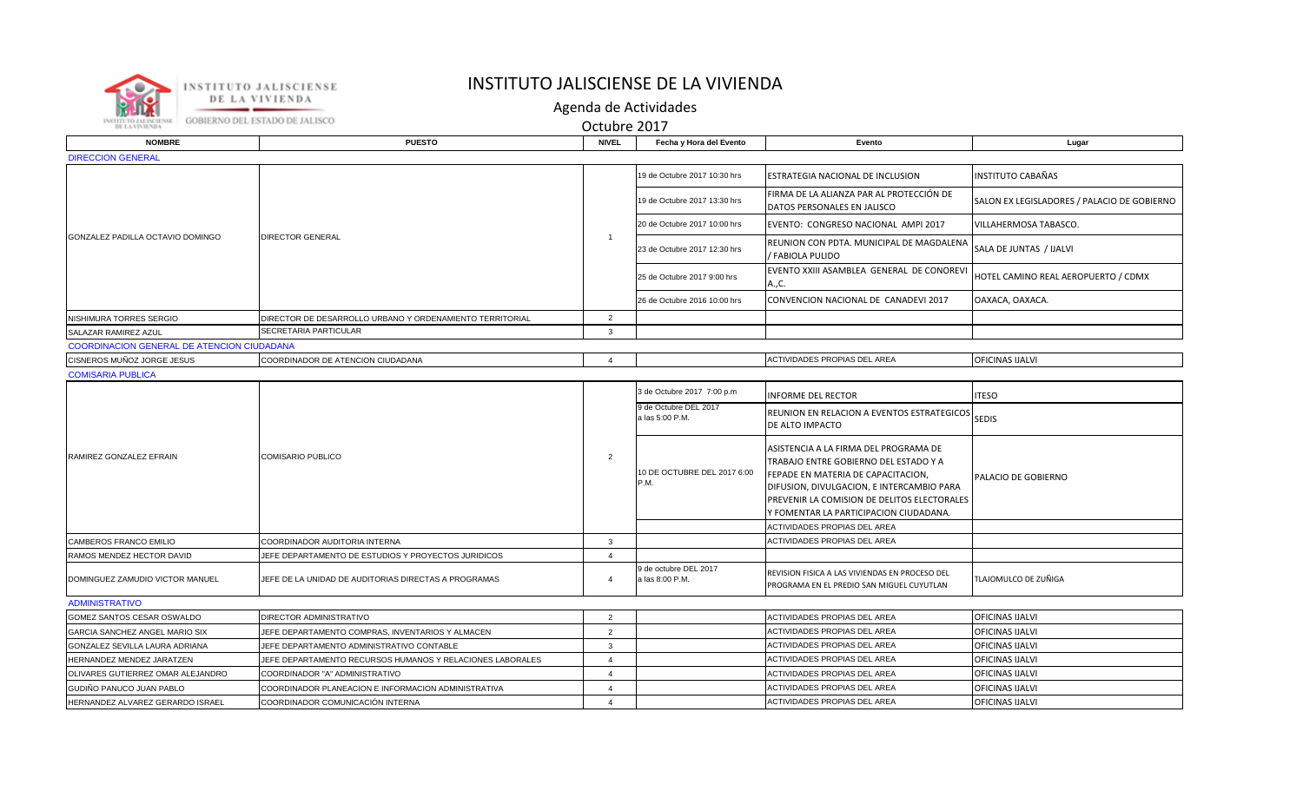

## INSTITUTO JALISCIENSE DE LA VIVIENDA

Agenda de Actividades

Octubre 2017

| <b>NOMBRE</b>                                     | <b>PUESTO</b>                                             | <b>NIVEL</b>           | Fecha y Hora del Evento                  | Evento                                                                                                                                                                                                                                                     | Lugar                                       |  |  |  |
|---------------------------------------------------|-----------------------------------------------------------|------------------------|------------------------------------------|------------------------------------------------------------------------------------------------------------------------------------------------------------------------------------------------------------------------------------------------------------|---------------------------------------------|--|--|--|
| <b>DIRECCION GENERAL</b>                          |                                                           |                        |                                          |                                                                                                                                                                                                                                                            |                                             |  |  |  |
| GONZALEZ PADILLA OCTAVIO DOMINGO                  | DIRECTOR GENERAL                                          |                        | 19 de Octubre 2017 10:30 hrs             | ESTRATEGIA NACIONAL DE INCLUSION                                                                                                                                                                                                                           | INSTITUTO CABAÑAS                           |  |  |  |
|                                                   |                                                           |                        | 19 de Octubre 2017 13:30 hrs             | FIRMA DE LA ALIANZA PAR AL PROTECCIÓN DE<br>DATOS PERSONALES EN JALISCO                                                                                                                                                                                    | SALON EX LEGISLADORES / PALACIO DE GOBIERNO |  |  |  |
|                                                   |                                                           |                        | 20 de Octubre 2017 10:00 hrs             | EVENTO: CONGRESO NACIONAL AMPI 2017                                                                                                                                                                                                                        | VILLAHERMOSA TABASCO.                       |  |  |  |
|                                                   |                                                           | $\overline{1}$         | 23 de Octubre 2017 12:30 hrs             | REUNION CON PDTA. MUNICIPAL DE MAGDALENA<br>/ FABIOLA PULIDO                                                                                                                                                                                               | SALA DE JUNTAS / IJALVI                     |  |  |  |
|                                                   |                                                           |                        | 25 de Octubre 2017 9:00 hrs              | EVENTO XXIII ASAMBLEA GENERAL DE CONOREVI<br>A.,C.                                                                                                                                                                                                         | HOTEL CAMINO REAL AEROPUERTO / CDMX         |  |  |  |
|                                                   |                                                           |                        | 26 de Octubre 2016 10:00 hrs             | CONVENCION NACIONAL DE CANADEVI 2017                                                                                                                                                                                                                       | OAXACA, OAXACA.                             |  |  |  |
| NISHIMURA TORRES SERGIO                           | DIRECTOR DE DESARROLLO URBANO Y ORDENAMIENTO TERRITORIAL  | $\overline{2}$         |                                          |                                                                                                                                                                                                                                                            |                                             |  |  |  |
| SALAZAR RAMIREZ AZUL                              | SECRETARIA PARTICULAR                                     | $\mathbf{3}$           |                                          |                                                                                                                                                                                                                                                            |                                             |  |  |  |
| <b>COORDINACION GENERAL DE ATENCION CIUDADANA</b> |                                                           |                        |                                          |                                                                                                                                                                                                                                                            |                                             |  |  |  |
| CISNEROS MUÑOZ JORGE JESUS                        | COORDINADOR DE ATENCION CIUDADANA                         | $\overline{4}$         |                                          | ACTIVIDADES PROPIAS DEL AREA                                                                                                                                                                                                                               | OFICINAS IJALVI                             |  |  |  |
| <b>COMISARIA PUBLICA</b>                          |                                                           |                        |                                          |                                                                                                                                                                                                                                                            |                                             |  |  |  |
| RAMIREZ GONZALEZ EFRAIN                           | COMISARIO PUBLICO                                         |                        | 3 de Octubre 2017 7:00 p.m               | <b>INFORME DEL RECTOR</b>                                                                                                                                                                                                                                  | <b>ITESO</b>                                |  |  |  |
|                                                   |                                                           |                        | 9 de Octubre DEL 2017<br>a las 5:00 P.M. | REUNION EN RELACION A EVENTOS ESTRATEGICOS<br>DE ALTO IMPACTO                                                                                                                                                                                              | <b>SEDIS</b>                                |  |  |  |
|                                                   |                                                           | $\overline{2}$         | 10 DE OCTUBRE DEL 2017 6:00<br>P.M.      | ASISTENCIA A LA FIRMA DEL PROGRAMA DE<br>TRABAJO ENTRE GOBIERNO DEL ESTADO Y A<br>FEPADE EN MATERIA DE CAPACITACION,<br>DIFUSION, DIVULGACION, E INTERCAMBIO PARA<br>PREVENIR LA COMISION DE DELITOS ELECTORALES<br>Y FOMENTAR LA PARTICIPACION CIUDADANA. | PALACIO DE GOBIERNO                         |  |  |  |
|                                                   |                                                           |                        |                                          | <b>ACTIVIDADES PROPIAS DEL AREA</b>                                                                                                                                                                                                                        |                                             |  |  |  |
| CAMBEROS FRANCO EMILIO                            | COORDINADOR AUDITORIA INTERNA                             | 3                      |                                          | <b>ACTIVIDADES PROPIAS DEL AREA</b>                                                                                                                                                                                                                        |                                             |  |  |  |
| RAMOS MENDEZ HECTOR DAVID                         | JEFE DEPARTAMENTO DE ESTUDIOS Y PROYECTOS JURIDICOS       | $\boldsymbol{\Lambda}$ |                                          |                                                                                                                                                                                                                                                            |                                             |  |  |  |
| DOMINGUEZ ZAMUDIO VICTOR MANUEL                   | JEFE DE LA UNIDAD DE AUDITORIAS DIRECTAS A PROGRAMAS      | $\overline{4}$         | 9 de octubre DEL 2017<br>a las 8:00 P.M. | REVISION FISICA A LAS VIVIENDAS EN PROCESO DEL<br>PROGRAMA EN EL PREDIO SAN MIGUEL CUYUTLAN                                                                                                                                                                | TLAJOMULCO DE ZUÑIGA                        |  |  |  |
| <b>ADMINISTRATIVO</b>                             |                                                           |                        |                                          |                                                                                                                                                                                                                                                            |                                             |  |  |  |
| GOMEZ SANTOS CESAR OSWALDO                        | DIRECTOR ADMINISTRATIVO                                   | 2                      |                                          | <b>ACTIVIDADES PROPIAS DEL AREA</b>                                                                                                                                                                                                                        | OFICINAS IJALVI                             |  |  |  |
| GARCIA SANCHEZ ANGEL MARIO SIX                    | JEFE DEPARTAMENTO COMPRAS, INVENTARIOS Y ALMACEN          | $\overline{2}$         |                                          | <b>ACTIVIDADES PROPIAS DEL AREA</b>                                                                                                                                                                                                                        | OFICINAS IJALVI                             |  |  |  |
| GONZALEZ SEVILLA LAURA ADRIANA                    | JEFE DEPARTAMENTO ADMINISTRATIVO CONTABLE                 | 3                      |                                          | ACTIVIDADES PROPIAS DEL AREA                                                                                                                                                                                                                               | OFICINAS IJALVI                             |  |  |  |
| HERNANDEZ MENDEZ JARATZEN                         | JEFE DEPARTAMENTO RECURSOS HUMANOS Y RELACIONES LABORALES | $\overline{4}$         |                                          | <b>ACTIVIDADES PROPIAS DEL AREA</b>                                                                                                                                                                                                                        | OFICINAS IJALVI                             |  |  |  |
| OLIVARES GUTIERREZ OMAR ALEJANDRO                 | COORDINADOR "A" ADMINISTRATIVO                            | $\overline{4}$         |                                          | ACTIVIDADES PROPIAS DEL AREA                                                                                                                                                                                                                               | OFICINAS IJALVI                             |  |  |  |
| GUDIÑO PANUCO JUAN PABLO                          | COORDINADOR PLANEACION E INFORMACION ADMINISTRATIVA       | $\overline{4}$         |                                          | <b>ACTIVIDADES PROPIAS DEL AREA</b>                                                                                                                                                                                                                        | OFICINAS IJALVI                             |  |  |  |
| HERNANDEZ ALVAREZ GERARDO ISRAEL                  | COORDINADOR COMUNICACIÓN INTERNA                          | $\overline{4}$         |                                          | ACTIVIDADES PROPIAS DEL AREA                                                                                                                                                                                                                               | OFICINAS IJALVI                             |  |  |  |